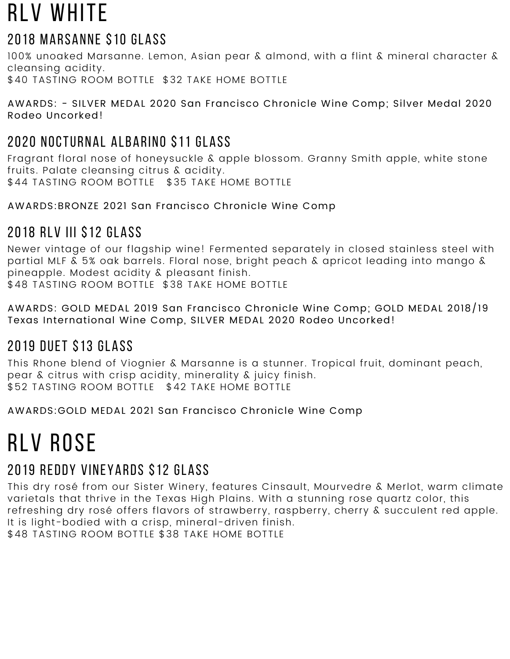# RLV WHITE

### 2018 Marsanne \$10 GLASS

100% unoaked Marsanne. Lemon, Asian pear & almond, with a flint & mineral character & cleansing acidity. \$40 TASTING ROOM BOTTLE \$32 TAKE HOME BOTTLE

AWARDS: - SILVER MEDAL 2020 San Francisco Chronicle Wine Comp; Silver Medal 2020 Rodeo Uncorked!

## 2020 Nocturnal albarino \$11 GLASS

Fragrant floral nose of honeysuckle & apple blossom. Granny Smith apple, white stone fruits. Palate cleansing citrus & acidity. \$44 TASTING ROOM BOTTLE \$35 TAKE HOME BOTTLE

AWARDS:BRONZE 2021 San Francisco Chronicle Wine Comp

### 2018 RLV III \$12 GLASS

Newer vintage of our flagship wine! Fermented separately in closed stainless steel with partial MLF & 5% oak barrels. Floral nose, bright peach & apricot leading into mango & pineapple. Modest acidity & pleasant finish. \$48 TASTING ROOM BOTTLE \$38 TAKE HOME BOTTLE

AWARDS: GOLD MEDAL 2019 San Francisco Chronicle Wine Comp; GOLD MEDAL 2018/19 Texas International Wine Comp, SILVER MEDAL 2020 Rodeo Uncorked!

# 2019 Duet \$13 GLASS

This Rhone blend of Viognier & Marsanne is a stunner. Tropical fruit, dominant peach, pear & citrus with crisp acidity, minerality & juicy finish. \$52 TASTING ROOM BOTTLE \$42 TAKE HOME BOTTLE

AWARDS:GOLD MEDAL 2021 San Francisco Chronicle Wine Comp

# RIV ROSF

### 2019 Reddy Vineyards \$12 GLASS

This dry rosé from our Sister Winery, features Cinsault, Mourvedre & Merlot, warm climate varietals that thrive in the Texas High Plains. With a stunning rose quartz color, this refreshing dry rosé offers flavors of strawberry, raspberry, cherry & succulent red apple. It is light-bodied with a crisp, mineral-driven finish. \$48 TASTING ROOM BOTTLE \$38 TAKE HOME BOTTLE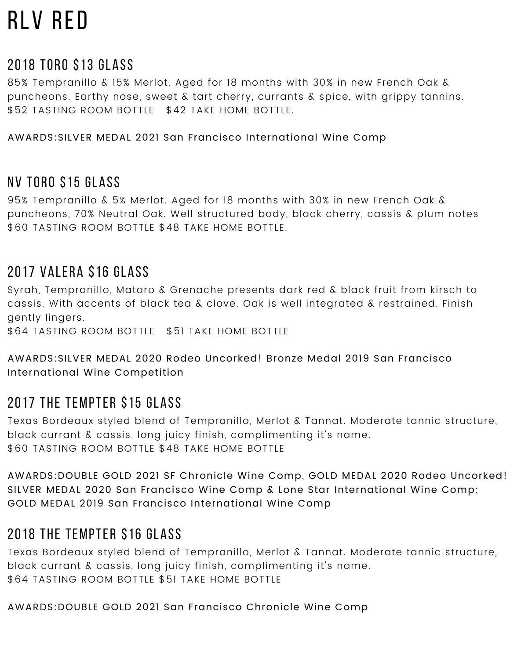# rlv red

#### 2018 TORO \$13 GLASS

85% Tempranillo & 15% Merlot. Aged for 18 months with 30% in new French Oak & puncheons. Earthy nose, sweet & tart cherry, currants & spice, with grippy tannins. \$52 TASTING ROOM BOTTLE \$42 TAKE HOME BOTTLE.

AWARDS:SILVER MEDAL 2021 San Francisco International Wine Comp

#### NV toro \$15 GLASS

95% Tempranillo & 5% Merlot. Aged for 18 months with 30% in new French Oak & puncheons, 70% Neutral Oak. Well structured body, black cherry, cassis & plum notes \$60 TASTING ROOM BOTTLE \$48 TAKE HOME BOTTLE.

#### 2017 Valera \$16 GLASS

Syrah, Tempranillo, Mataro & Grenache presents dark red & black fruit from kirsch to cassis. With accents of black tea & clove. Oak is well integrated & restrained. Finish gently lingers.

\$64 TASTING ROOM BOTTLE \$51 TAKE HOME BOTTLE

#### AWARDS:SILVER MEDAL 2020 Rodeo Uncorked! Bronze Medal 2019 San Francisco International Wine Competition

#### 2017 the tempter \$15 GLASS

Texas Bordeaux styled blend of Tempranillo, Merlot & Tannat. Moderate tannic structure, black currant & cassis, long juicy finish, complimenting it's name. \$60 TASTING ROOM BOTTLE \$48 TAKE HOME BOTTLE

AWARDS:DOUBLE GOLD 2021 SF Chronicle Wine Comp, GOLD MEDAL 2020 Rodeo Uncorked! SILVER MEDAL 2020 San Francisco Wine Comp & Lone Star International Wine Comp; GOLD MEDAL 2019 San Francisco International Wine Comp

#### 2018 the tempter \$16 GLASS

Texas Bordeaux styled blend of Tempranillo, Merlot & Tannat. Moderate tannic structure, black currant & cassis, long juicy finish, complimenting it's name. \$64 TASTING ROOM BOTTLE \$51 TAKE HOME BOTTLE

AWARDS:DOUBLE GOLD 2021 San Francisco Chronicle Wine Comp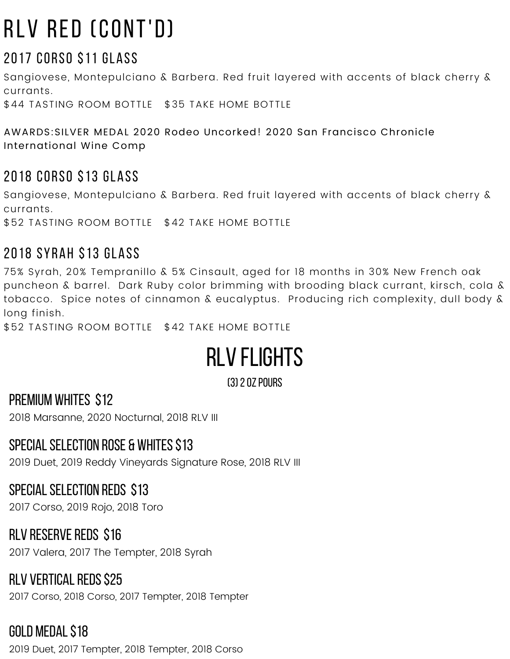# rlv red (CONT'D)

# 2017 CORSO \$11 GLASS

Sangiovese, Montepulciano & Barbera. Red fruit layered with accents of black cherry & currants.

\$44 TASTING ROOM BOTTLE \$35 TAKE HOME BOTTLE

AWARDS:SILVER MEDAL 2020 Rodeo Uncorked! 2020 San Francisco Chronicle International Wine Comp

### 2018 CORSO \$13 GLASS

Sangiovese, Montepulciano & Barbera. Red fruit layered with accents of black cherry & currants.

\$52 TASTING ROOM BOTTLE \$42 TAKE HOME BOTTLE

## 2018 syrah \$13 GLASS

75% Syrah, 20% Tempranillo & 5% Cinsault, aged for 18 months in 30% New French oak puncheon & barrel. Dark Ruby color brimming with brooding black currant, kirsch, cola & tobacco. Spice notes of cinnamon & eucalyptus. Producing rich complexity, dull body & long finish.

\$52 TASTING ROOM BOTTLE \$42 TAKE HOME BOTTLE

# RLV FLIGHTS

(3)2ozpours

PREMIUM WHITES \$12

2018 Marsanne, 2020 Nocturnal, 2018 RLV III

### SPECIAL SELECTION ROSE & WHITES \$13

2019 Duet, 2019 Reddy Vineyards Signature Rose, 2018 RLV III

#### SPECIAL SELECTION REDS \$13

2017 Corso, 2019 Rojo, 2018 Toro

### RLV RESERVE REDS \$16

2017 Valera, 2017 The Tempter, 2018 Syrah

#### RLV VERTICAL REDS \$25 2017 Corso, 2018 Corso, 2017 Tempter, 2018 Tempter

# GOLD MEDAL \$18

2019 Duet, 2017 Tempter, 2018 Tempter, 2018 Corso